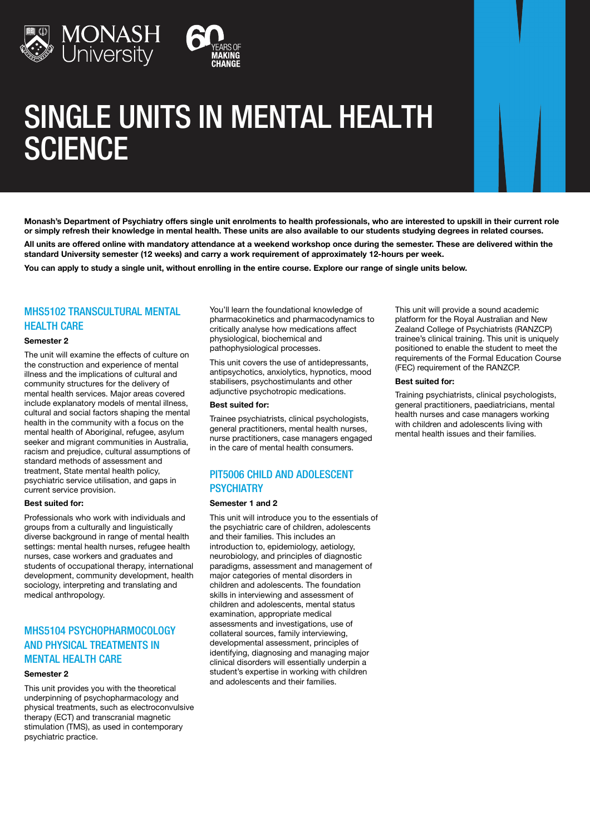

# SINGLE UNITS IN MENTAL HEALTH **SCIENCE**

Monash's Department of Psychiatry offers single unit enrolments to health professionals, who are interested to upskill in their current role or simply refresh their knowledge in mental health. These units are also available to our students studying degrees in related courses.

All units are offered online with mandatory attendance at a weekend workshop once during the semester. These are delivered within the standard University semester (12 weeks) and carry a work requirement of approximately 12-hours per week.

You can apply to study a single unit, without enrolling in the entire course. Explore our range of single units below.

## **MHS5102 TRANSCULTURAL MENTAL HEALTH CARE**

#### Semester 2

The unit will examine the effects of culture on the construction and experience of mental illness and the implications of cultural and community structures for the delivery of mental health services. Major areas covered include explanatory models of mental illness, cultural and social factors shaping the mental health in the community with a focus on the mental health of Aboriginal, refugee, asylum seeker and migrant communities in Australia, racism and prejudice, cultural assumptions of standard methods of assessment and treatment, State mental health policy, psychiatric service utilisation, and gaps in current service provision.

#### Best suited for:

Professionals who work with individuals and groups from a culturally and linguistically diverse background in range of mental health settings: mental health nurses, refugee health nurses, case workers and graduates and students of occupational therapy, international development, community development, health sociology, interpreting and translating and medical anthropology.

# MHS5104 PSYCHOPHARMOCOLOGY AND PHYSICAL TREATMENTS IN MENTAL HEALTH CARE

#### Semester 2

This unit provides you with the theoretical underpinning of psychopharmacology and physical treatments, such as electroconvulsive therapy (ECT) and transcranial magnetic stimulation (TMS), as used in contemporary psychiatric practice.

You'll learn the foundational knowledge of pharmacokinetics and pharmacodynamics to critically analyse how medications affect physiological, biochemical and pathophysiological processes.

This unit covers the use of antidepressants, antipsychotics, anxiolytics, hypnotics, mood stabilisers, psychostimulants and other adjunctive psychotropic medications.

#### Best suited for:

Trainee psychiatrists, clinical psychologists, general practitioners, mental health nurses, nurse practitioners, case managers engaged in the care of mental health consumers.

# PIT5006 CHILD AND ADOLESCENT **PSYCHIATRY**

#### Semester 1 and 2

This unit will introduce you to the essentials of the psychiatric care of children, adolescents and their families. This includes an introduction to, epidemiology, aetiology, neurobiology, and principles of diagnostic paradigms, assessment and management of major categories of mental disorders in children and adolescents. The foundation skills in interviewing and assessment of children and adolescents, mental status examination, appropriate medical assessments and investigations, use of collateral sources, family interviewing, developmental assessment, principles of identifying, diagnosing and managing major clinical disorders will essentially underpin a student's expertise in working with children and adolescents and their families.

This unit will provide a sound academic platform for the Royal Australian and New Zealand College of Psychiatrists (RANZCP) trainee's clinical training. This unit is uniquely positioned to enable the student to meet the requirements of the Formal Education Course (FEC) requirement of the RANZCP.

#### Best suited for:

Training psychiatrists, clinical psychologists, general practitioners, paediatricians, mental health nurses and case managers working with children and adolescents living with mental health issues and their families.